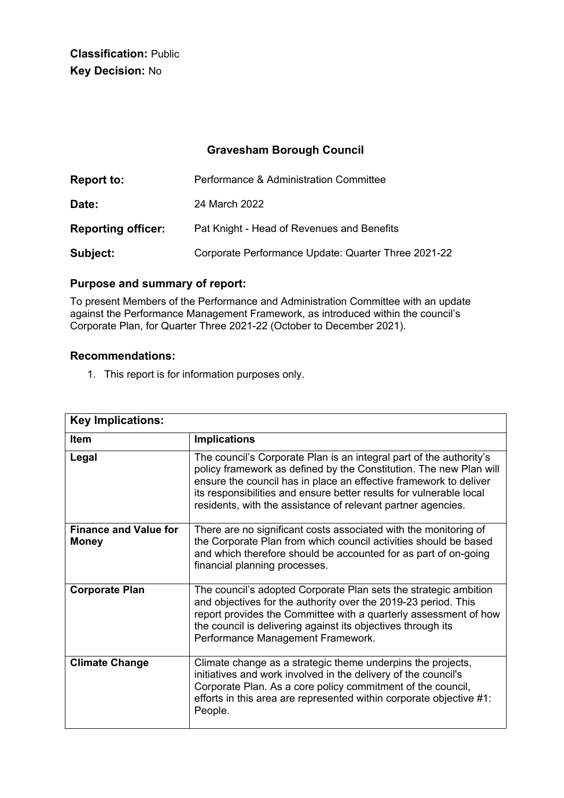**Classification:** Public **Key Decision:** No

# **Gravesham Borough Council**

| <b>Report to:</b>         | Performance & Administration Committee              |
|---------------------------|-----------------------------------------------------|
| Date:                     | 24 March 2022                                       |
| <b>Reporting officer:</b> | Pat Knight - Head of Revenues and Benefits          |
| Subject:                  | Corporate Performance Update: Quarter Three 2021-22 |

# **Purpose and summary of report:**

To present Members of the Performance and Administration Committee with an update against the Performance Management Framework, as introduced within the council's Corporate Plan, for Quarter Three 2021-22 (October to December 2021).

### **Recommendations:**

1. This report is for information purposes only.

| <b>Key Implications:</b>                     |                                                                                                                                                                                                                                                                                                                                                       |
|----------------------------------------------|-------------------------------------------------------------------------------------------------------------------------------------------------------------------------------------------------------------------------------------------------------------------------------------------------------------------------------------------------------|
| Item                                         | <b>Implications</b>                                                                                                                                                                                                                                                                                                                                   |
| Legal                                        | The council's Corporate Plan is an integral part of the authority's<br>policy framework as defined by the Constitution. The new Plan will<br>ensure the council has in place an effective framework to deliver<br>its responsibilities and ensure better results for vulnerable local<br>residents, with the assistance of relevant partner agencies. |
| <b>Finance and Value for</b><br><b>Money</b> | There are no significant costs associated with the monitoring of<br>the Corporate Plan from which council activities should be based<br>and which therefore should be accounted for as part of on-going<br>financial planning processes.                                                                                                              |
| <b>Corporate Plan</b>                        | The council's adopted Corporate Plan sets the strategic ambition<br>and objectives for the authority over the 2019-23 period. This<br>report provides the Committee with a quarterly assessment of how<br>the council is delivering against its objectives through its<br>Performance Management Framework.                                           |
| <b>Climate Change</b>                        | Climate change as a strategic theme underpins the projects,<br>initiatives and work involved in the delivery of the council's<br>Corporate Plan. As a core policy commitment of the council,<br>efforts in this area are represented within corporate objective #1:<br>People.                                                                        |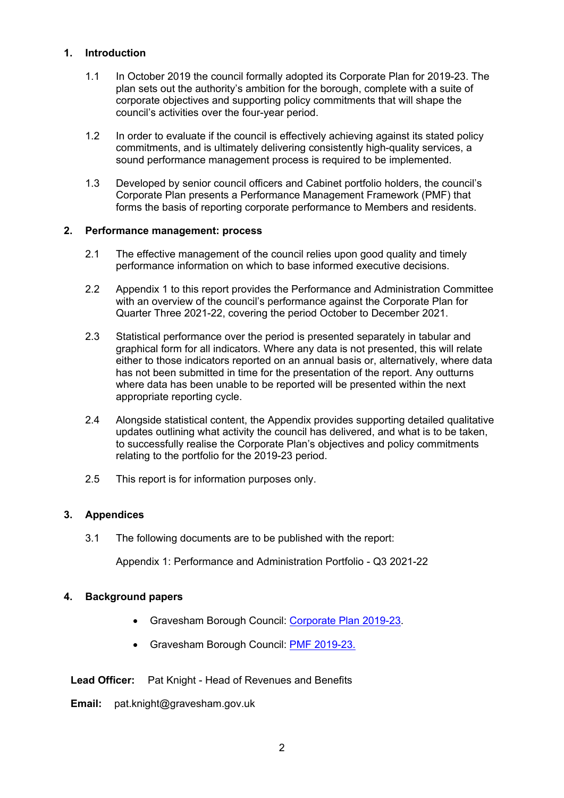### **1. Introduction**

- 1.1 In October 2019 the council formally adopted its Corporate Plan for 2019-23. The plan sets out the authority's ambition for the borough, complete with a suite of corporate objectives and supporting policy commitments that will shape the council's activities over the four-year period.
- 1.2 In order to evaluate if the council is effectively achieving against its stated policy commitments, and is ultimately delivering consistently high-quality services, a sound performance management process is required to be implemented.
- 1.3 Developed by senior council officers and Cabinet portfolio holders, the council's Corporate Plan presents a Performance Management Framework (PMF) that forms the basis of reporting corporate performance to Members and residents.

#### **2. Performance management: process**

- 2.1 The effective management of the council relies upon good quality and timely performance information on which to base informed executive decisions.
- 2.2 Appendix 1 to this report provides the Performance and Administration Committee with an overview of the council's performance against the Corporate Plan for Quarter Three 2021-22, covering the period October to December 2021.
- 2.3 Statistical performance over the period is presented separately in tabular and graphical form for all indicators. Where any data is not presented, this will relate either to those indicators reported on an annual basis or, alternatively, where data has not been submitted in time for the presentation of the report. Any outturns where data has been unable to be reported will be presented within the next appropriate reporting cycle.
- 2.4 Alongside statistical content, the Appendix provides supporting detailed qualitative updates outlining what activity the council has delivered, and what is to be taken, to successfully realise the Corporate Plan's objectives and policy commitments relating to the portfolio for the 2019-23 period.
- 2.5 This report is for information purposes only.

## **3. Appendices**

3.1 The following documents are to be published with the report:

Appendix 1: Performance and Administration Portfolio - Q3 2021-22

## **4. Background papers**

- Gravesham Borough Council: [Corporate](https://www.gravesham.gov.uk/corporateplan) Plan 2019-23.
- Gravesham Borough Council: PMF [2019-23.](https://www.gravesham.gov.uk/performance)

**Lead Officer:** Pat Knight - Head of Revenues and Benefits

**Email:** pat.knight@gravesham.gov.uk